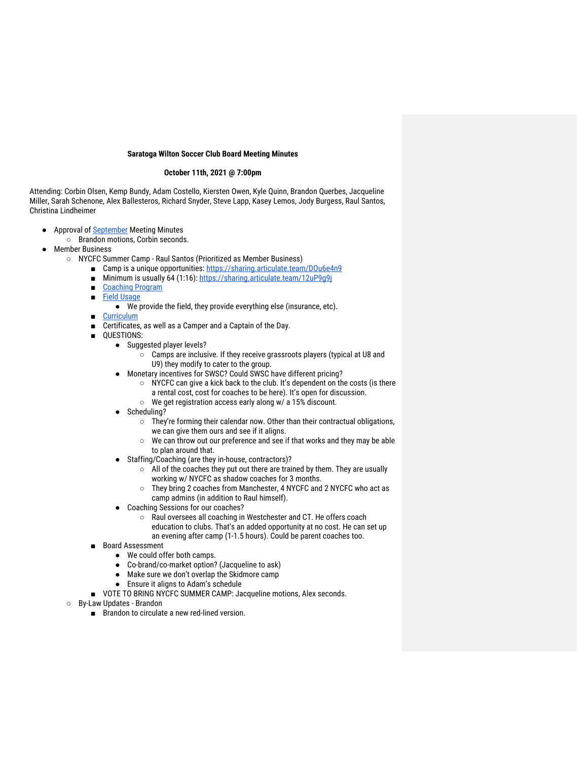## **Saratoga Wilton Soccer Club Board Meeting Minutes**

## **October 11th, 2021 @ 7:00pm**

Attending: Corbin Olsen, Kemp Bundy, Adam Costello, Kiersten Owen, Kyle Quinn, Brandon Querbes, Jacqueline Miller, Sarah Schenone, Alex Ballesteros, Richard Snyder, Steve Lapp, Kasey Lemos, Jody Burgess, Raul Santos, Christina Lindheimer

- Approval of September Meeting Minutes
	- Brandon motions, Corbin seconds.
	- **Member Business** 
		- NYCFC Summer Camp Raul Santos (Prioritized as Member Business)
			- Camp is a unique opportunities: https://sharing.articulate.team/DOu6e4n9
			- Minimum is usually 64 (1:16): https://sharing.articulate.team/12uP9g9j
			- Coaching Program
			- Field Usage
				- We provide the field, they provide everything else (insurance, etc).
			- **Curriculum**
			- Certificates, as well as a Camper and a Captain of the Day.
			- QUESTIONS:
				- Suggested player levels?
					- Camps are inclusive. If they receive grassroots players (typical at U8 and U9) they modify to cater to the group.
				- Monetary incentives for SWSC? Could SWSC have different pricing?
					- NYCFC can give a kick back to the club. It's dependent on the costs (is there a rental cost, cost for coaches to be here). It's open for discussion.
					- We get registration access early along w/ a 15% discount.
				- Scheduling?
					- They're forming their calendar now. Other than their contractual obligations, we can give them ours and see if it aligns.
					- We can throw out our preference and see if that works and they may be able to plan around that.
				- Staffing/Coaching (are they in-house, contractors)?
					- All of the coaches they put out there are trained by them. They are usually working w/ NYCFC as shadow coaches for 3 months.
					- They bring 2 coaches from Manchester, 4 NYCFC and 2 NYCFC who act as camp admins (in addition to Raul himself).
				- Coaching Sessions for our coaches?
					- Raul oversees all coaching in Westchester and CT. He offers coach education to clubs. That's an added opportunity at no cost. He can set up an evening after camp (1-1.5 hours). Could be parent coaches too.
			- Board Assessment
				- We could offer both camps.
				- Co-brand/co-market option? (Jacqueline to ask)
				- Make sure we don't overlap the Skidmore camp
				- Ensure it aligns to Adam's schedule
			- VOTE TO BRING NYCFC SUMMER CAMP: Jacqueline motions, Alex seconds.
		- By-Law Updates Brandon
			- Brandon to circulate a new red-lined version.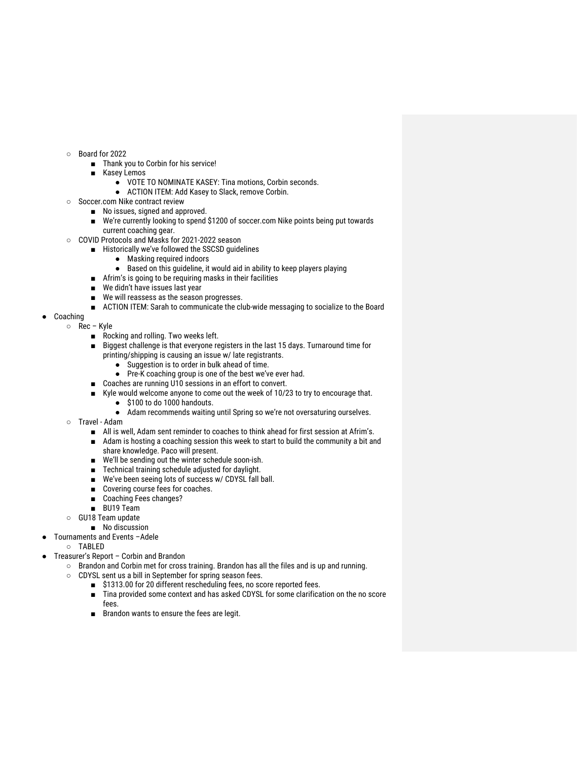- Board for 2022
	- Thank you to Corbin for his service!
	- Kasey Lemos
		- VOTE TO NOMINATE KASEY: Tina motions, Corbin seconds.
		- ACTION ITEM: Add Kasey to Slack, remove Corbin.
- Soccer.com Nike contract review
	- No issues, signed and approved.
	- We're currently looking to spend \$1200 of soccer.com Nike points being put towards current coaching gear.
- COVID Protocols and Masks for 2021-2022 season
	- Historically we've followed the SSCSD guidelines
		- Masking required indoors
		- Based on this guideline, it would aid in ability to keep players playing
		- Afrim's is going to be requiring masks in their facilities
		- We didn't have issues last year
		- We will reassess as the season progresses.
		- ACTION ITEM: Sarah to communicate the club-wide messaging to socialize to the Board
- Coaching
- Rec Kyle
	- Rocking and rolling. Two weeks left.
	- Biggest challenge is that everyone registers in the last 15 days. Turnaround time for printing/shipping is causing an issue w/ late registrants.
		- Suggestion is to order in bulk ahead of time.
		- Pre-K coaching group is one of the best we've ever had.
	- Coaches are running U10 sessions in an effort to convert.
		- Kyle would welcome anyone to come out the week of 10/23 to try to encourage that. ● \$100 to do 1000 handouts.
			-
			- Adam recommends waiting until Spring so we're not oversaturing ourselves.
	- Travel Adam
		- All is well, Adam sent reminder to coaches to think ahead for first session at Afrim's.
		- Adam is hosting a coaching session this week to start to build the community a bit and share knowledge. Paco will present.
		- We'll be sending out the winter schedule soon-ish.
		- Technical training schedule adjusted for daylight.
		- We've been seeing lots of success w/ CDYSL fall ball.
		- Covering course fees for coaches.
		- Coaching Fees changes?
		- BU19 Team
	- GU18 Team update
		- No discussion
	- Tournaments and Events -Adele
- TABLED
- Treasurer's Report Corbin and Brandon
	- Brandon and Corbin met for cross training. Brandon has all the files and is up and running.
	- CDYSL sent us a bill in September for spring season fees.
		- \$1313.00 for 20 different rescheduling fees, no score reported fees.
		- Tina provided some context and has asked CDYSL for some clarification on the no score fees.
		- Brandon wants to ensure the fees are legit.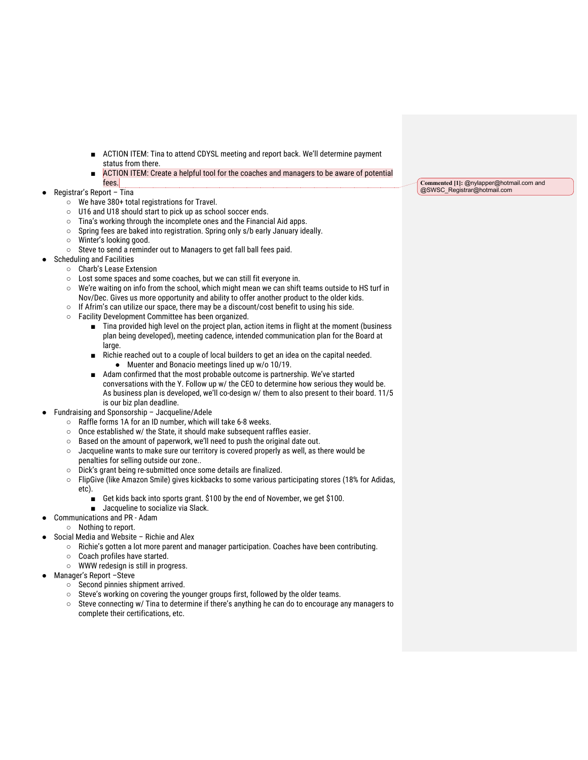- ACTION ITEM: Tina to attend CDYSL meeting and report back. We'll determine payment status from there.
- ACTION ITEM: Create a helpful tool for the coaches and managers to be aware of potential fees.
- Registrar's Report Tina
	- We have 380+ total registrations for Travel.
	- U16 and U18 should start to pick up as school soccer ends.
	- Tina's working through the incomplete ones and the Financial Aid apps.
	- Spring fees are baked into registration. Spring only s/b early January ideally.
	- Winter's looking good.
	- Steve to send a reminder out to Managers to get fall ball fees paid.
- Scheduling and Facilities
	- Charb's Lease Extension
		- Lost some spaces and some coaches, but we can still fit everyone in.
		- We're waiting on info from the school, which might mean we can shift teams outside to HS turf in Nov/Dec. Gives us more opportunity and ability to offer another product to the older kids.
		- If Afrim's can utilize our space, there may be a discount/cost benefit to using his side.
		- Facility Development Committee has been organized.
			- Tina provided high level on the project plan, action items in flight at the moment (business plan being developed), meeting cadence, intended communication plan for the Board at large.
			- Richie reached out to a couple of local builders to get an idea on the capital needed. ● Muenter and Bonacio meetings lined up w/o 10/19.
			- Adam confirmed that the most probable outcome is partnership. We've started conversations with the Y. Follow up w/ the CEO to determine how serious they would be. As business plan is developed, we'll co-design w/ them to also present to their board. 11/5 is our biz plan deadline.
- Fundraising and Sponsorship Jacqueline/Adele
	- Raffle forms 1A for an ID number, which will take 6-8 weeks.
	- Once established w/ the State, it should make subsequent raffles easier.
	- Based on the amount of paperwork, we'll need to push the original date out.
	- $\circ$  Jacqueline wants to make sure our territory is covered properly as well, as there would be penalties for selling outside our zone..
	- Dick's grant being re-submitted once some details are finalized.
	- FlipGive (like Amazon Smile) gives kickbacks to some various participating stores (18% for Adidas, etc).
		- Get kids back into sports grant. \$100 by the end of November, we get \$100.
		- Jacqueline to socialize via Slack.
- Communications and PR Adam
	- Nothing to report.
- Social Media and Website Richie and Alex
	- Richie's gotten a lot more parent and manager participation. Coaches have been contributing.
	- Coach profiles have started.
	- WWW redesign is still in progress.
- Manager's Report -Steve
	- Second pinnies shipment arrived.
	- Steve's working on covering the younger groups first, followed by the older teams.
	- Steve connecting w/ Tina to determine if there's anything he can do to encourage any managers to complete their certifications, etc.

**Commented [1]:** @nylapper@hotmail.com and @SWSC\_Registrar@hotmail.com